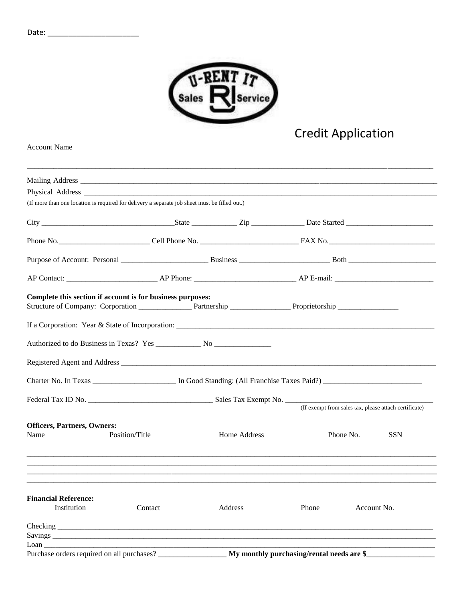

## Credit Application

Account Name

| (If more than one location is required for delivery a separate job sheet must be filled out.) |                |              |                                           |           |                                                       |
|-----------------------------------------------------------------------------------------------|----------------|--------------|-------------------------------------------|-----------|-------------------------------------------------------|
|                                                                                               |                |              |                                           |           |                                                       |
|                                                                                               |                |              |                                           |           |                                                       |
|                                                                                               |                |              |                                           |           |                                                       |
|                                                                                               |                |              |                                           |           |                                                       |
| Complete this section if account is for business purposes:                                    |                |              |                                           |           |                                                       |
|                                                                                               |                |              |                                           |           |                                                       |
|                                                                                               |                |              |                                           |           |                                                       |
|                                                                                               |                |              |                                           |           |                                                       |
|                                                                                               |                |              |                                           |           |                                                       |
|                                                                                               |                |              |                                           |           | (If exempt from sales tax, please attach certificate) |
|                                                                                               |                |              |                                           |           |                                                       |
| <b>Officers, Partners, Owners:</b>                                                            |                |              |                                           |           |                                                       |
| Name                                                                                          | Position/Title | Home Address |                                           | Phone No. | <b>SSN</b>                                            |
|                                                                                               |                |              |                                           |           |                                                       |
| <b>Financial Reference:</b><br>Institution                                                    | Contact        | Address      | Phone                                     |           | Account No.                                           |
|                                                                                               |                |              |                                           |           |                                                       |
|                                                                                               |                |              |                                           |           |                                                       |
| $L$ oan $\_\_\_\_\_\_\_\_\_\_\_\$                                                             |                |              |                                           |           |                                                       |
| Purchase orders required on all purchases?                                                    |                |              | My monthly purchasing/rental needs are \$ |           |                                                       |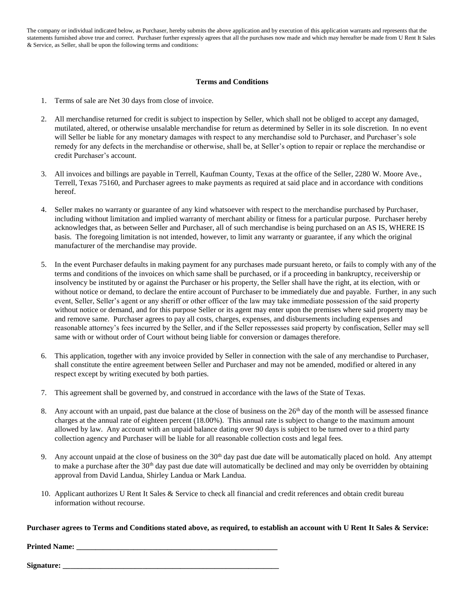The company or individual indicated below, as Purchaser, hereby submits the above application and by execution of this application warrants and represents that the statements furnished above true and correct. Purchaser further expressly agrees that all the purchases now made and which may hereafter be made from U Rent It Sales & Service, as Seller, shall be upon the following terms and conditions:

## **Terms and Conditions**

- 1. Terms of sale are Net 30 days from close of invoice.
- 2. All merchandise returned for credit is subject to inspection by Seller, which shall not be obliged to accept any damaged, mutilated, altered, or otherwise unsalable merchandise for return as determined by Seller in its sole discretion. In no event will Seller be liable for any monetary damages with respect to any merchandise sold to Purchaser, and Purchaser's sole remedy for any defects in the merchandise or otherwise, shall be, at Seller's option to repair or replace the merchandise or credit Purchaser's account.
- 3. All invoices and billings are payable in Terrell, Kaufman County, Texas at the office of the Seller, 2280 W. Moore Ave., Terrell, Texas 75160, and Purchaser agrees to make payments as required at said place and in accordance with conditions hereof.
- 4. Seller makes no warranty or guarantee of any kind whatsoever with respect to the merchandise purchased by Purchaser, including without limitation and implied warranty of merchant ability or fitness for a particular purpose. Purchaser hereby acknowledges that, as between Seller and Purchaser, all of such merchandise is being purchased on an AS IS, WHERE IS basis. The foregoing limitation is not intended, however, to limit any warranty or guarantee, if any which the original manufacturer of the merchandise may provide.
- 5. In the event Purchaser defaults in making payment for any purchases made pursuant hereto, or fails to comply with any of the terms and conditions of the invoices on which same shall be purchased, or if a proceeding in bankruptcy, receivership or insolvency be instituted by or against the Purchaser or his property, the Seller shall have the right, at its election, with or without notice or demand, to declare the entire account of Purchaser to be immediately due and payable. Further, in any such event, Seller, Seller's agent or any sheriff or other officer of the law may take immediate possession of the said property without notice or demand, and for this purpose Seller or its agent may enter upon the premises where said property may be and remove same. Purchaser agrees to pay all costs, charges, expenses, and disbursements including expenses and reasonable attorney's fees incurred by the Seller, and if the Seller repossesses said property by confiscation, Seller may sell same with or without order of Court without being liable for conversion or damages therefore.
- 6. This application, together with any invoice provided by Seller in connection with the sale of any merchandise to Purchaser, shall constitute the entire agreement between Seller and Purchaser and may not be amended, modified or altered in any respect except by writing executed by both parties.
- 7. This agreement shall be governed by, and construed in accordance with the laws of the State of Texas.
- 8. Any account with an unpaid, past due balance at the close of business on the  $26<sup>th</sup>$  day of the month will be assessed finance charges at the annual rate of eighteen percent (18.00%). This annual rate is subject to change to the maximum amount allowed by law. Any account with an unpaid balance dating over 90 days is subject to be turned over to a third party collection agency and Purchaser will be liable for all reasonable collection costs and legal fees.
- 9. Any account unpaid at the close of business on the  $30<sup>th</sup>$  day past due date will be automatically placed on hold. Any attempt to make a purchase after the  $30<sup>th</sup>$  day past due date will automatically be declined and may only be overridden by obtaining approval from David Landua, Shirley Landua or Mark Landua.
- 10. Applicant authorizes U Rent It Sales & Service to check all financial and credit references and obtain credit bureau information without recourse.

**Purchaser agrees to Terms and Conditions stated above, as required, to establish an account with U Rent It Sales & Service:** 

**Printed Name: \_\_\_\_\_\_\_\_\_\_\_\_\_\_\_\_\_\_\_\_\_\_\_\_\_\_\_\_\_\_\_\_\_\_\_\_\_\_\_\_\_\_\_\_\_\_\_\_\_\_\_\_\_** 

**Signature: \_\_\_\_\_\_\_\_\_\_\_\_\_\_\_\_\_\_\_\_\_\_\_\_\_\_\_\_\_\_\_\_\_\_\_\_\_\_\_\_\_\_\_\_\_\_\_\_\_\_\_\_\_\_\_\_\_**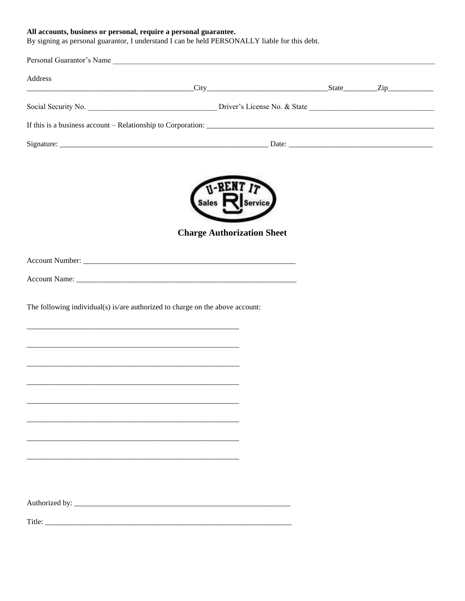All accounts, business or personal, require a personal guarantee.<br>By signing as personal guarantor, I understand I can be held PERSONALLY liable for this debt.

| Address |                                                                               |  |
|---------|-------------------------------------------------------------------------------|--|
|         |                                                                               |  |
|         |                                                                               |  |
|         |                                                                               |  |
|         |                                                                               |  |
|         |                                                                               |  |
|         | V-RENT IT                                                                     |  |
|         |                                                                               |  |
|         | <b>Charge Authorization Sheet</b>                                             |  |
|         |                                                                               |  |
|         |                                                                               |  |
|         |                                                                               |  |
|         | The following individual(s) is/are authorized to charge on the above account: |  |
|         |                                                                               |  |
|         |                                                                               |  |
|         |                                                                               |  |
|         |                                                                               |  |
|         |                                                                               |  |
|         |                                                                               |  |
|         |                                                                               |  |
|         |                                                                               |  |
|         |                                                                               |  |
|         |                                                                               |  |
|         |                                                                               |  |
|         |                                                                               |  |
|         |                                                                               |  |